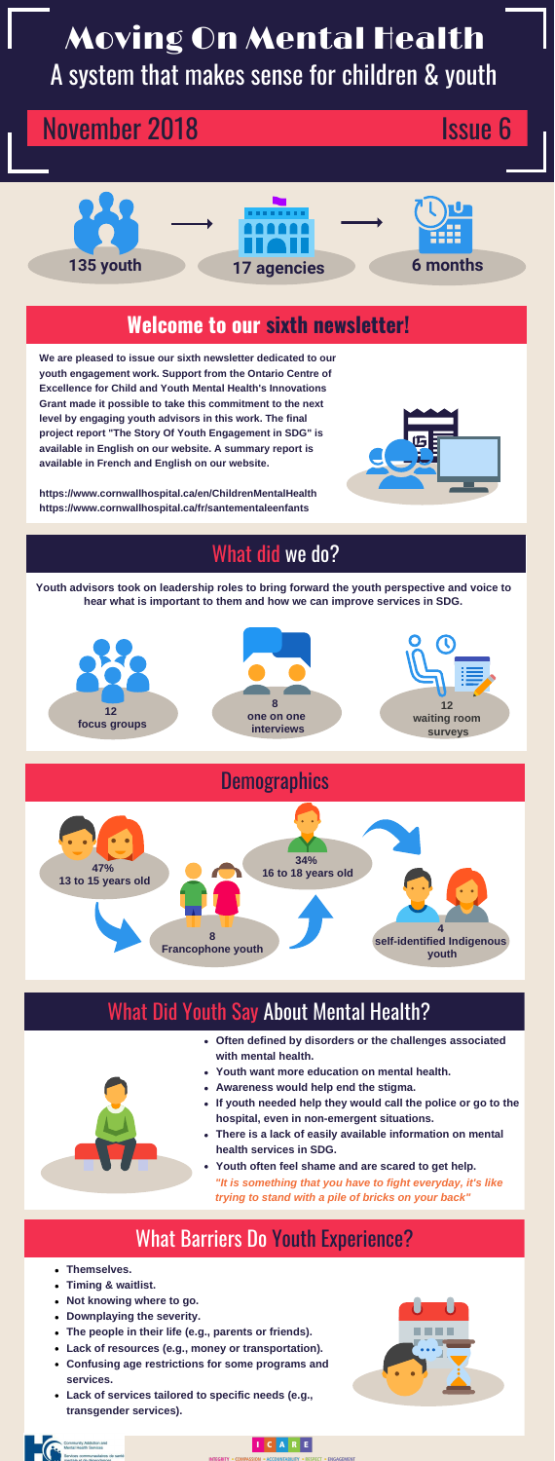# Moving On Mental Health A system that makes sense for children & youth

# November 2018 **Issue 6**

**We are pleased to issue our sixth newsletter dedicated to our youth engagement work. Support from the Ontario Centre of Excellence for Child and Youth Mental Health's Innovations Grant made it possible to take this commitment to the next level by engaging youth advisors in this work. The final project report "The Story Of Youth Engagement in SDG" is available in English on our website. A summary report is available in French and English on our website.** 

**https://www.cornwallhospital.ca/en/ChildrenMentalHealth https://www.cornwallhospital.ca/fr/santementaleenfants**



### What did we do?

# **Welcome to our sixth newsletter!**

- **Themselves.**
- **Timing & waitlist.**
- **Not knowing where to go.**
- **Downplaying the severity.**
- **The people in their life (e.g., parents or friends).**
- **Lack of resources (e.g., money or transportation).**
- **Confusing age restrictions for some programs and services.**
- **Lack of services tailored to specific needs (e.g., transgender services).**





#### ICARE



**Youth advisors took on leadership roles to bring forward the youth perspective and voice to hear what is important to them and how we can improve services in SDG.** 



- **Often defined by disorders or the challenges associated with mental health.**
- **Youth want more education on mental health.**
- **Awareness would help end the stigma.**
- **If youth needed help they would call the police or go to the hospital, even in non-emergent situations.**
- **There is a lack of easily available information on mental health services in SDG.**
- **Youth often feel shame and are scared to get help.** *"It is something that you have to fight everyday, it's like trying to stand with a pile of bricks on your back"*

### What Barriers Do Youth Experience?



# What Did Youth Say About Mental Health?